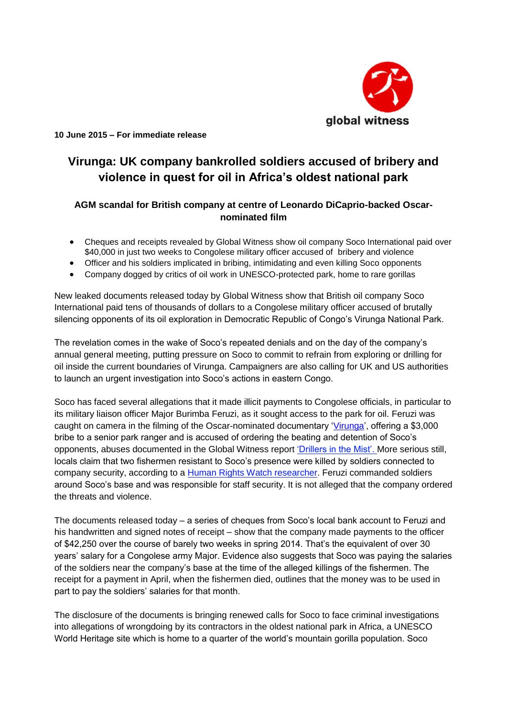

 **10 June 2015 – For immediate release**

# **Virunga: UK company bankrolled soldiers accused of bribery and violence in quest for oil in Africa's oldest national park**

## **AGM scandal for British company at centre of Leonardo DiCaprio-backed Oscarnominated film**

- Cheques and receipts revealed by Global Witness show oil company Soco International paid over \$40,000 in just two weeks to Congolese military officer accused of bribery and violence
- Officer and his soldiers implicated in bribing, intimidating and even killing Soco opponents
- Company dogged by critics of oil work in UNESCO-protected park, home to rare gorillas

New leaked documents released today by Global Witness show that British oil company Soco International paid tens of thousands of dollars to a Congolese military officer accused of brutally silencing opponents of its oil exploration in Democratic Republic of Congo's Virunga National Park.

The revelation comes in the wake of Soco's repeated denials and on the day of the company's annual general meeting, putting pressure on Soco to commit to refrain from exploring or drilling for oil inside the current boundaries of Virunga. Campaigners are also calling for UK and US authorities to launch an urgent investigation into Soco's actions in eastern Congo.

Soco has faced several allegations that it made illicit payments to Congolese officials, in particular to its military liaison officer Major Burimba Feruzi, as it sought access to the park for oil. Feruzi was caught on camera in the filming of the Oscar-nominated documentary ['Virunga'](http://virungamovie.com/), offering a \$3,000 bribe to a senior park ranger and is accused of ordering the beating and detention of Soco's opponents, abuses documented in the Global Witness repor[t 'Drillers in the Mist'.](https://www.globalwitness.org/documents/11102/drillers_in_the_mist.pdf) More serious still, locals claim that two fishermen resistant to Soco's presence were killed by soldiers connected to company security, according to a [Human Rights Watch researcher.](http://www.telegraph.co.uk/news/worldnews/africaandindianocean/democraticrepublicofcongo/11075473/Battle-for-Virunga-The-fight-to-save-Africas-oldest-national-park.html) Feruzi commanded soldiers around Soco's base and was responsible for staff security. It is not alleged that the company ordered the threats and violence.

The documents released today – a series of cheques from Soco's local bank account to Feruzi and his handwritten and signed notes of receipt – show that the company made payments to the officer of \$42,250 over the course of barely two weeks in spring 2014. That's the equivalent of over 30 years' salary for a Congolese army Major. Evidence also suggests that Soco was paying the salaries of the soldiers near the company's base at the time of the alleged killings of the fishermen. The receipt for a payment in April, when the fishermen died, outlines that the money was to be used in part to pay the soldiers' salaries for that month.

The disclosure of the documents is bringing renewed calls for Soco to face criminal investigations into allegations of wrongdoing by its contractors in the oldest national park in Africa, a UNESCO World Heritage site which is home to a quarter of the world's mountain gorilla population. Soco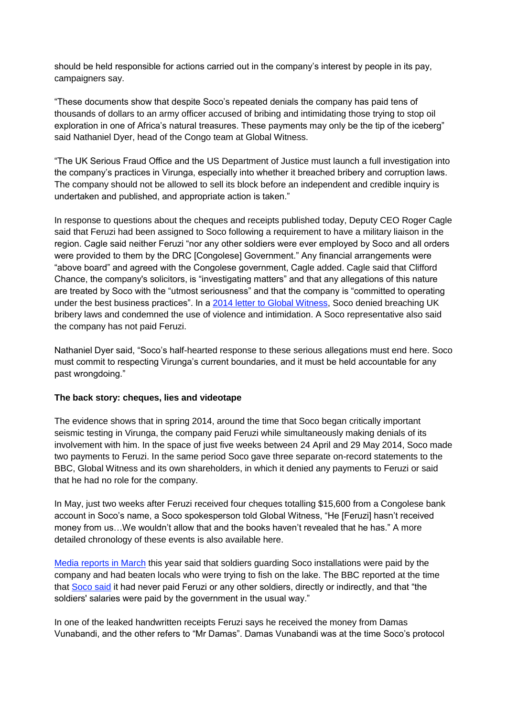should be held responsible for actions carried out in the company's interest by people in its pay, campaigners say.

"These documents show that despite Soco's repeated denials the company has paid tens of thousands of dollars to an army officer accused of bribing and intimidating those trying to stop oil exploration in one of Africa's natural treasures. These payments may only be the tip of the iceberg" said Nathaniel Dyer, head of the Congo team at Global Witness.

"The UK Serious Fraud Office and the US Department of Justice must launch a full investigation into the company's practices in Virunga, especially into whether it breached bribery and corruption laws. The company should not be allowed to sell its block before an independent and credible inquiry is undertaken and published, and appropriate action is taken."

In response to questions about the cheques and receipts published today, Deputy CEO Roger Cagle said that Feruzi had been assigned to Soco following a requirement to have a military liaison in the region. Cagle said neither Feruzi "nor any other soldiers were ever employed by Soco and all orders were provided to them by the DRC [Congolese] Government." Any financial arrangements were "above board" and agreed with the Congolese government, Cagle added. Cagle said that Clifford Chance, the company's solicitors, is "investigating matters" and that any allegations of this nature are treated by Soco with the "utmost seriousness" and that the company is "committed to operating under the best business practices". In a [2014 letter to Global Witness,](https://www.globalwitness.org/documents/10623/soco%20response%20-%204%20june%202014.pdf) Soco denied breaching UK bribery laws and condemned the use of violence and intimidation. A Soco representative also said the company has not paid Feruzi.

Nathaniel Dyer said, "Soco's half-hearted response to these serious allegations must end here. Soco must commit to respecting Virunga's current boundaries, and it must be held accountable for any past wrongdoing."

### **The back story: cheques, lies and videotape**

The evidence shows that in spring 2014, around the time that Soco began critically important seismic testing in Virunga, the company paid Feruzi while simultaneously making denials of its involvement with him. In the space of just five weeks between 24 April and 29 May 2014, Soco made two payments to Feruzi. In the same period Soco gave three separate on-record statements to the BBC, Global Witness and its own shareholders, in which it denied any payments to Feruzi or said that he had no role for the company.

In May, just two weeks after Feruzi received four cheques totalling \$15,600 from a Congolese bank account in Soco's name, a Soco spokesperson told Global Witness, "He [Feruzi] hasn't received money from us…We wouldn't allow that and the books haven't revealed that he has." A more detailed chronology of these events is also available here.

[Media reports in March](https://soundcloud.com/bbcafrica/dr-congo-virunga-national-park-boundary-changes-planned) this year said that soldiers guarding Soco installations were paid by the company and had beaten locals who were trying to fish on the lake. The BBC reported at the time that [Soco s](http://www.bbc.co.uk/news/world-africa-31876577)aid it had never paid Feruzi or any other soldiers, directly or indirectly, and that "the soldiers' salaries were paid by the government in the usual way."

In one of the leaked handwritten receipts Feruzi says he received the money from Damas Vunabandi, and the other refers to "Mr Damas". Damas Vunabandi was at the time Soco's protocol